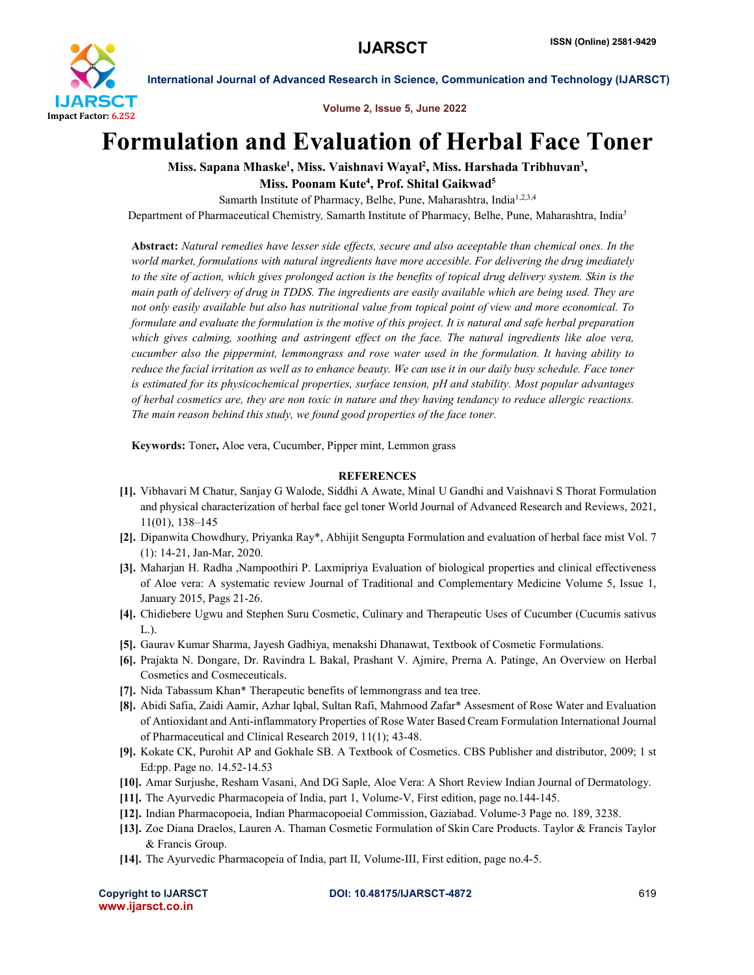

International Journal of Advanced Research in Science, Communication and Technology (IJARSCT)

Volume 2, Issue 5, June 2022

## Formulation and Evaluation of Herbal Face Toner

Miss. Sapana Mhaske<sup>1</sup>, Miss. Vaishnavi Wayal<sup>2</sup>, Miss. Harshada Tribhuvan<sup>3</sup>, Miss. Poonam Kute<sup>4</sup>, Prof. Shital Gaikwad<sup>5</sup>

Samarth Institute of Pharmacy, Belhe, Pune, Maharashtra, India<sup>1,2,3,4</sup>

Department of Pharmaceutical Chemistry*,* Samarth Institute of Pharmacy, Belhe, Pune, Maharashtra, India*<sup>5</sup>*

Abstract: *Natural remedies have lesser side effects, secure and also aceeptable than chemical ones. In the world market, formulations with natural ingredients have more accesible. For delivering the drug imediately to the site of action, which gives prolonged action is the benefits of topical drug delivery system. Skin is the main path of delivery of drug in TDDS. The ingredients are easily available which are being used. They are not only easily available but also has nutritional value from topical point of view and more economical. To*  formulate and evaluate the formulation is the motive of this project. It is natural and safe herbal preparation *which gives calming, soothing and astringent effect on the face. The natural ingredients like aloe vera, cucumber also the pippermint, lemmongrass and rose water used in the formulation. It having ability to reduce the facial irritation as well as to enhance beauty. We can use it in our daily busy schedule. Face toner is estimated for its physicochemical properties, surface tension, pH and stability. Most popular advantages of herbal cosmetics are, they are non toxic in nature and they having tendancy to reduce allergic reactions. The main reason behind this study, we found good properties of the face toner.*

Keywords: Toner, Aloe vera, Cucumber, Pipper mint, Lemmon grass

## **REFERENCES**

- [1]. Vibhavari M Chatur, Sanjay G Walode, Siddhi A Awate, Minal U Gandhi and Vaishnavi S Thorat Formulation and physical characterization of herbal face gel toner World Journal of Advanced Research and Reviews, 2021, 11(01), 138–145
- [2]. Dipanwita Chowdhury, Priyanka Ray\*, Abhijit Sengupta Formulation and evaluation of herbal face mist Vol. 7 (1): 14-21, Jan-Mar, 2020.
- [3]. Maharjan H. Radha ,Nampoothiri P. Laxmipriya Evaluation of biological properties and clinical effectiveness of Aloe vera: A systematic review Journal of Traditional and Complementary Medicine Volume 5, Issue 1, January 2015, Pags 21-26.
- [4]. Chidiebere Ugwu and Stephen Suru Cosmetic, Culinary and Therapeutic Uses of Cucumber (Cucumis sativus L.).
- [5]. Gaurav Kumar Sharma, Jayesh Gadhiya, menakshi Dhanawat, Textbook of Cosmetic Formulations.
- [6]. Prajakta N. Dongare, Dr. Ravindra L Bakal, Prashant V. Ajmire, Prerna A. Patinge, An Overview on Herbal Cosmetics and Cosmeceuticals.
- [7]. Nida Tabassum Khan\* Therapeutic benefits of lemmongrass and tea tree.
- [8]. Abidi Safia, Zaidi Aamir, Azhar Iqbal, Sultan Rafi, Mahmood Zafar\* Assesment of Rose Water and Evaluation of Antioxidant and Anti-inflammatory Properties of Rose Water Based Cream Formulation International Journal of Pharmaceutical and Clinical Research 2019, 11(1); 43-48.
- [9]. Kokate CK, Purohit AP and Gokhale SB. A Textbook of Cosmetics. CBS Publisher and distributor, 2009; 1 st Ed:pp. Page no. 14.52-14.53
- [10]. Amar Surjushe, Resham Vasani, And DG Saple, Aloe Vera: A Short Review Indian Journal of Dermatology.
- [11]. The Ayurvedic Pharmacopeia of India, part 1, Volume-V, First edition, page no.144-145.
- [12]. Indian Pharmacopoeia, Indian Pharmacopoeial Commission, Gaziabad. Volume-3 Page no. 189, 3238.
- [13]. Zoe Diana Draelos, Lauren A. Thaman Cosmetic Formulation of Skin Care Products. Taylor & Francis Taylor & Francis Group.
- [14]. The Ayurvedic Pharmacopeia of India, part II, Volume-III, First edition, page no.4-5.